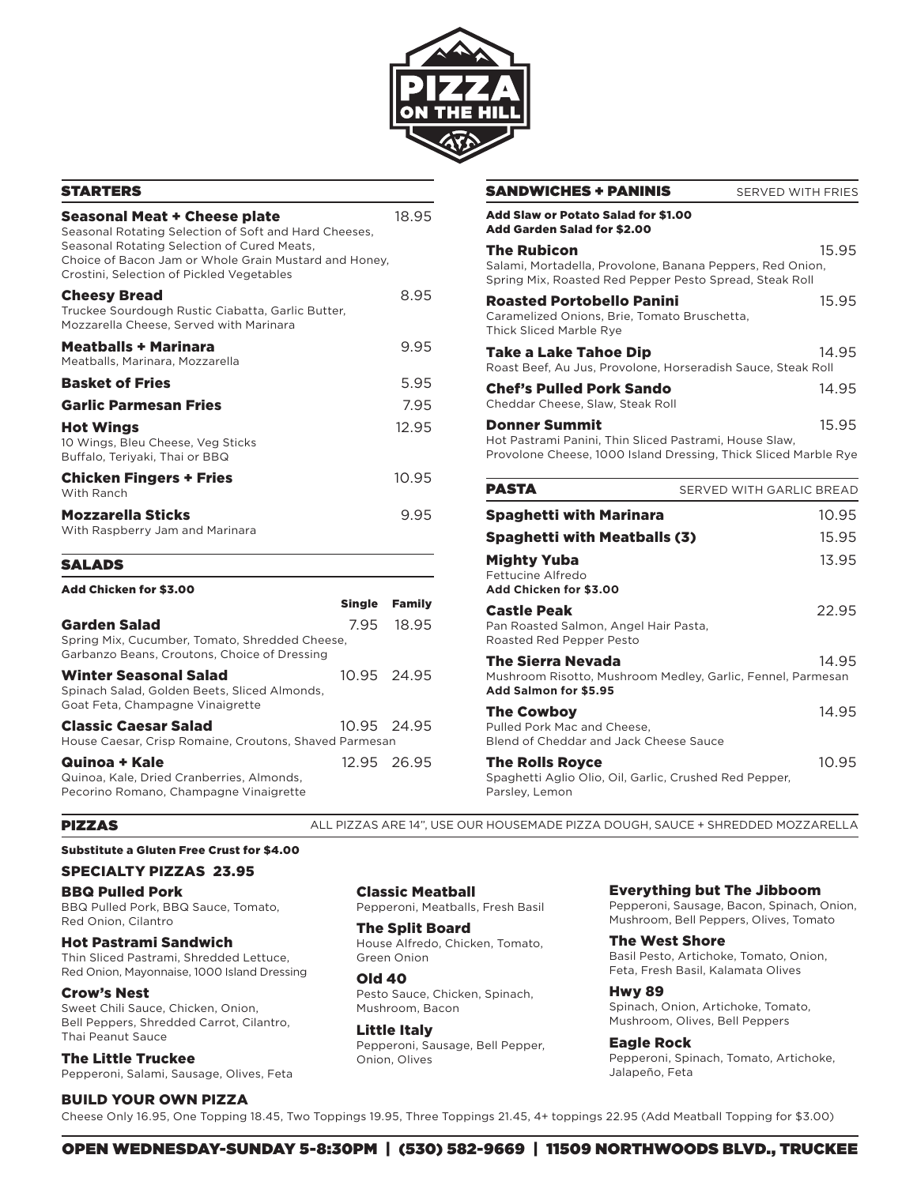

# STARTERS

| Seasonal Meat + Cheese plate<br>Seasonal Rotating Selection of Soft and Hard Cheeses,<br>Seasonal Rotating Selection of Cured Meats,<br>Choice of Bacon Jam or Whole Grain Mustard and Honey,<br>Crostini, Selection of Pickled Vegetables |               |
|--------------------------------------------------------------------------------------------------------------------------------------------------------------------------------------------------------------------------------------------|---------------|
| <b>Cheesy Bread</b><br>Truckee Sourdough Rustic Ciabatta, Garlic Butter,<br>Mozzarella Cheese, Served with Marinara                                                                                                                        | 8.95          |
| <b>Meatballs + Marinara</b><br>Meatballs, Marinara, Mozzarella                                                                                                                                                                             | 9.95          |
| <b>Basket of Fries</b>                                                                                                                                                                                                                     | 5.95          |
| <b>Garlic Parmesan Fries</b>                                                                                                                                                                                                               | 7.95          |
| <b>Hot Wings</b><br>10 Wings, Bleu Cheese, Veg Sticks<br>Buffalo, Teriyaki, Thai or BBQ                                                                                                                                                    | 12.95         |
| <b>Chicken Fingers + Fries</b><br>With Ranch                                                                                                                                                                                               | 10.95         |
| <b>Mozzarella Sticks</b><br>With Raspberry Jam and Marinara                                                                                                                                                                                | 9.95          |
| <b>SALADS</b>                                                                                                                                                                                                                              |               |
| Add Chicken for \$3.00<br>Single                                                                                                                                                                                                           | <b>Family</b> |

| <b>Garden Salad</b><br>Spring Mix, Cucumber, Tomato, Shredded Cheese,<br>Garbanzo Beans, Croutons, Choice of Dressing |             | 7.95 18.95 |
|-----------------------------------------------------------------------------------------------------------------------|-------------|------------|
| <b>Winter Seasonal Salad</b><br>Spinach Salad, Golden Beets, Sliced Almonds,<br>Goat Feta, Champagne Vinaigrette      | 10.95 24.95 |            |
| <b>Classic Caesar Salad</b><br>House Caesar, Crisp Romaine, Croutons, Shaved Parmesan                                 | 10.95 24.95 |            |
| Quinoa + Kale<br>Quinoa, Kale, Dried Cranberries, Almonds,<br>Pecorino Romano, Champagne Vinaigrette                  | 12.95 26.95 |            |

| <b>SANDWICHES + PANINIS</b>                                                                                                                       | SERVED WITH FRIES        |
|---------------------------------------------------------------------------------------------------------------------------------------------------|--------------------------|
| Add Slaw or Potato Salad for \$1.00<br><b>Add Garden Salad for \$2.00</b>                                                                         |                          |
| <b>The Rubicon</b><br>Salami, Mortadella, Provolone, Banana Peppers, Red Onion,<br>Spring Mix, Roasted Red Pepper Pesto Spread, Steak Roll        | 15.95                    |
| <b>Roasted Portobello Panini</b><br>Caramelized Onions, Brie, Tomato Bruschetta,<br><b>Thick Sliced Marble Rye</b>                                | 15.95                    |
| Take a Lake Tahoe Dip<br>Roast Beef, Au Jus, Provolone, Horseradish Sauce, Steak Roll                                                             | 14.95                    |
| <b>Chef's Pulled Pork Sando</b><br>Cheddar Cheese, Slaw, Steak Roll                                                                               | 14.95                    |
| <b>Donner Summit</b><br>Hot Pastrami Panini, Thin Sliced Pastrami, House Slaw,<br>Provolone Cheese, 1000 Island Dressing, Thick Sliced Marble Rye | 15.95                    |
| PASTA                                                                                                                                             | SERVED WITH GARLIC BREAD |
| <b>Spaghetti with Marinara</b>                                                                                                                    | 10.95                    |
| <b>Spaghetti with Meatballs (3)</b>                                                                                                               | 15.95                    |
| <b>Mighty Yuba</b><br>Fettucine Alfredo<br>Add Chicken for \$3.00                                                                                 | 13.95                    |
| <b>Castle Peak</b><br>Pan Roasted Salmon, Angel Hair Pasta,<br>Roasted Red Pepper Pesto                                                           | 22.95                    |

| Fall Rudsted Jailliuli, Aliyel Hail Fasta,<br>Roasted Red Pepper Pesto                                    |       |
|-----------------------------------------------------------------------------------------------------------|-------|
| The Sierra Nevada<br>Mushroom Risotto, Mushroom Medley, Garlic, Fennel, Parmesan<br>Add Salmon for \$5.95 | 14.95 |
| The Cowboy<br>Pulled Pork Mac and Cheese,<br>Blend of Cheddar and Jack Cheese Sauce                       | 14.95 |
| <b>The Rolls Royce</b><br>Spaghetti Aglio Olio, Oil, Garlic, Crushed Red Pepper,                          | 10.95 |

#### PIZZAS

ALL PIZZAS ARE 14", USE OUR HOUSEMADE PIZZA DOUGH, SAUCE + SHREDDED MOZZARELLA

Parsley, Lemon

#### Substitute a Gluten Free Crust for \$4.00

### SPECIALTY PIZZAS 23.95

### BBQ Pulled Pork

BBQ Pulled Pork, BBQ Sauce, Tomato, Red Onion, Cilantro

Hot Pastrami Sandwich

Thin Sliced Pastrami, Shredded Lettuce, Red Onion, Mayonnaise, 1000 Island Dressing

## Crow's Nest

Sweet Chili Sauce, Chicken, Onion, Bell Peppers, Shredded Carrot, Cilantro, Thai Peanut Sauce

The Little Truckee Pepperoni, Salami, Sausage, Olives, Feta

## BUILD YOUR OWN PIZZA

Cheese Only 16.95, One Topping 18.45, Two Toppings 19.95, Three Toppings 21.45, 4+ toppings 22.95 (Add Meatball Topping for \$3.00)

Classic Meatball Pepperoni, Meatballs, Fresh Basil

# The Split Board

House Alfredo, Chicken, Tomato, Green Onion

Old 40 Pesto Sauce, Chicken, Spinach, Mushroom, Bacon

Little Italy Pepperoni, Sausage, Bell Pepper, Onion, Olives

Everything but The Jibboom

Pepperoni, Sausage, Bacon, Spinach, Onion, Mushroom, Bell Peppers, Olives, Tomato

The West Shore Basil Pesto, Artichoke, Tomato, Onion, Feta, Fresh Basil, Kalamata Olives

Hwy 89 Spinach, Onion, Artichoke, Tomato, Mushroom, Olives, Bell Peppers

Eagle Rock Pepperoni, Spinach, Tomato, Artichoke, Jalapeño, Feta